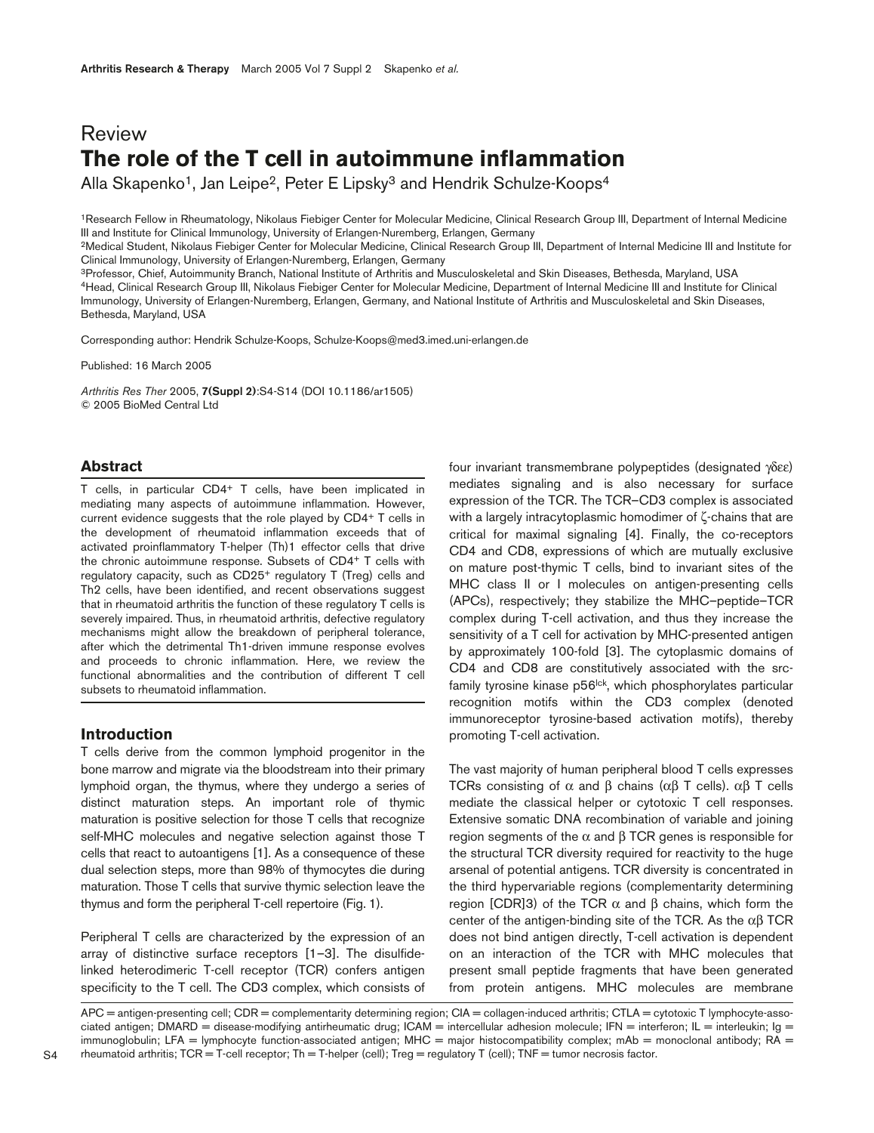# Review **The role of the T cell in autoimmune inflammation**

Alla Skapenko<sup>1</sup>, Jan Leipe<sup>2</sup>, Peter E Lipsky<sup>3</sup> and Hendrik Schulze-Koops<sup>4</sup>

1Research Fellow in Rheumatology, Nikolaus Fiebiger Center for Molecular Medicine, Clinical Research Group III, Department of Internal Medicine III and Institute for Clinical Immunology, University of Erlangen-Nuremberg, Erlangen, Germany

<sup>2</sup>Medical Student, Nikolaus Fiebiger Center for Molecular Medicine, Clinical Research Group III, Department of Internal Medicine III and Institute for Clinical Immunology, University of Erlangen-Nuremberg, Erlangen, Germany

3Professor, Chief, Autoimmunity Branch, National Institute of Arthritis and Musculoskeletal and Skin Diseases, Bethesda, Maryland, USA 4Head, Clinical Research Group III, Nikolaus Fiebiger Center for Molecular Medicine, Department of Internal Medicine III and Institute for Clinical Immunology, University of Erlangen-Nuremberg, Erlangen, Germany, and National Institute of Arthritis and Musculoskeletal and Skin Diseases, Bethesda, Maryland, USA

Corresponding author: Hendrik Schulze-Koops, Schulze-Koops@med3.imed.uni-erlangen.de

Published: 16 March 2005

*Arthritis Res Ther* 2005, **7(Suppl 2)**:S4-S14 (DOI 10.1186/ar1505) © 2005 BioMed Central Ltd

## **Abstract**

T cells, in particular CD4+ T cells, have been implicated in mediating many aspects of autoimmune inflammation. However, current evidence suggests that the role played by CD4+ T cells in the development of rheumatoid inflammation exceeds that of activated proinflammatory T-helper (Th)1 effector cells that drive the chronic autoimmune response. Subsets of CD4+ T cells with regulatory capacity, such as CD25+ regulatory T (Treg) cells and Th2 cells, have been identified, and recent observations suggest that in rheumatoid arthritis the function of these regulatory T cells is severely impaired. Thus, in rheumatoid arthritis, defective regulatory mechanisms might allow the breakdown of peripheral tolerance, after which the detrimental Th1-driven immune response evolves and proceeds to chronic inflammation. Here, we review the functional abnormalities and the contribution of different T cell subsets to rheumatoid inflammation.

# **Introduction**

T cells derive from the common lymphoid progenitor in the bone marrow and migrate via the bloodstream into their primary lymphoid organ, the thymus, where they undergo a series of distinct maturation steps. An important role of thymic maturation is positive selection for those T cells that recognize self-MHC molecules and negative selection against those T cells that react to autoantigens [1]. As a consequence of these dual selection steps, more than 98% of thymocytes die during maturation. Those T cells that survive thymic selection leave the thymus and form the peripheral T-cell repertoire (Fig. 1).

Peripheral T cells are characterized by the expression of an array of distinctive surface receptors [1–3]. The disulfidelinked heterodimeric T-cell receptor (TCR) confers antigen specificity to the T cell. The CD3 complex, which consists of four invariant transmembrane polypeptides (designated γδεε) mediates signaling and is also necessary for surface expression of the TCR. The TCR–CD3 complex is associated with a largely intracytoplasmic homodimer of ζ-chains that are critical for maximal signaling [4]. Finally, the co-receptors CD4 and CD8, expressions of which are mutually exclusive on mature post-thymic T cells, bind to invariant sites of the MHC class II or I molecules on antigen-presenting cells (APCs), respectively; they stabilize the MHC–peptide–TCR complex during T-cell activation, and thus they increase the sensitivity of a T cell for activation by MHC-presented antigen by approximately 100-fold [3]. The cytoplasmic domains of CD4 and CD8 are constitutively associated with the srcfamily tyrosine kinase p56<sup>Ick</sup>, which phosphorylates particular recognition motifs within the CD3 complex (denoted immunoreceptor tyrosine-based activation motifs), thereby promoting T-cell activation.

The vast majority of human peripheral blood T cells expresses TCRs consisting of  $\alpha$  and  $\beta$  chains ( $\alpha\beta$  T cells).  $\alpha\beta$  T cells mediate the classical helper or cytotoxic T cell responses. Extensive somatic DNA recombination of variable and joining region segments of the  $\alpha$  and  $\beta$  TCR genes is responsible for the structural TCR diversity required for reactivity to the huge arsenal of potential antigens. TCR diversity is concentrated in the third hypervariable regions (complementarity determining region [CDR]3) of the TCR  $\alpha$  and  $\beta$  chains, which form the center of the antigen-binding site of the TCR. As the  $\alpha\beta$  TCR does not bind antigen directly, T-cell activation is dependent on an interaction of the TCR with MHC molecules that present small peptide fragments that have been generated from protein antigens. MHC molecules are membrane

APC = antigen-presenting cell; CDR = complementarity determining region; CIA = collagen-induced arthritis; CTLA = cytotoxic T lymphocyte-associated antigen; DMARD = disease-modifying antirheumatic drug; ICAM = intercellular adhesion molecule; IFN = interferon; IL = interleukin; Ig = immunoglobulin; LFA = lymphocyte function-associated antigen; MHC = major histocompatibility complex; mAb = monoclonal antibody;  $R\overline{A}$  = rheumatoid arthritis; TCR = T-cell receptor; Th = T-helper (cell); Treg = regulatory T (cell); TNF = tumor necrosis factor.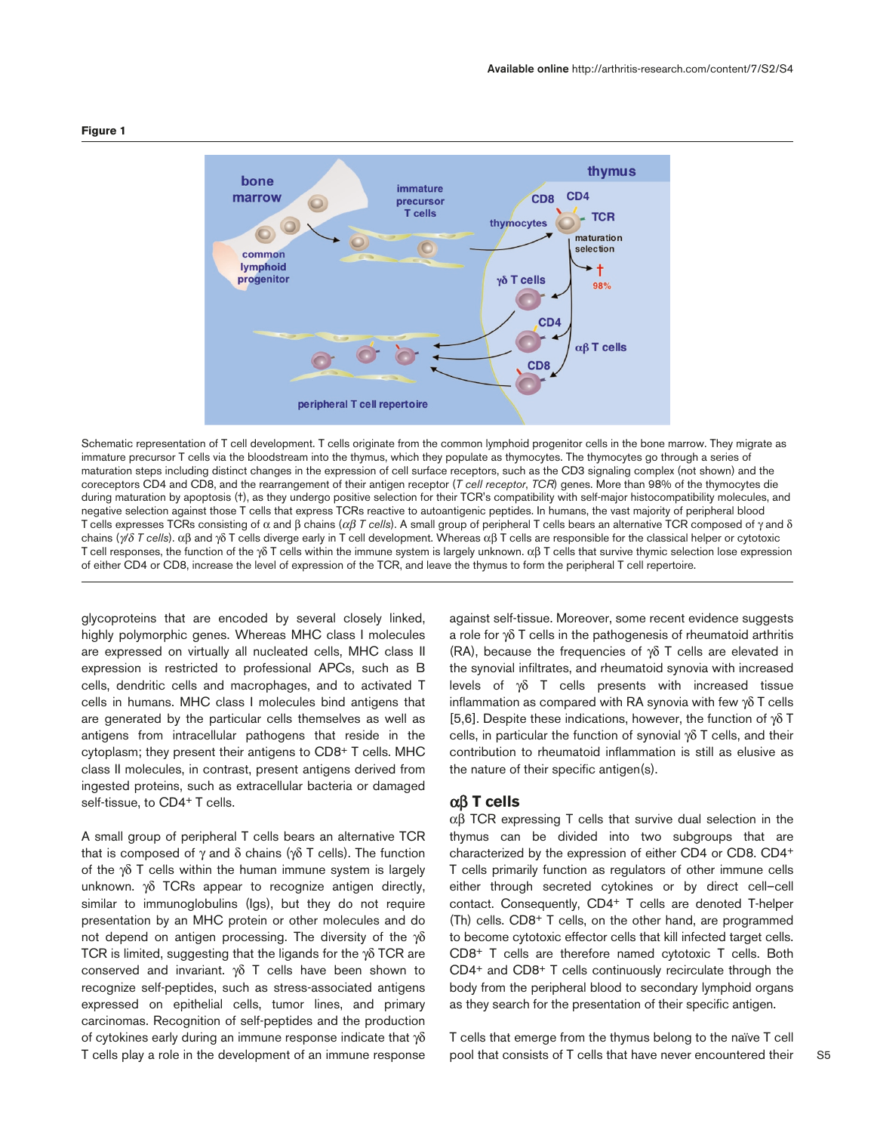

#### **Figure 1**

Schematic representation of T cell development. T cells originate from the common lymphoid progenitor cells in the bone marrow. They migrate as immature precursor T cells via the bloodstream into the thymus, which they populate as thymocytes. The thymocytes go through a series of maturation steps including distinct changes in the expression of cell surface receptors, such as the CD3 signaling complex (not shown) and the coreceptors CD4 and CD8, and the rearrangement of their antigen receptor (*T cell receptor*, *TCR*) genes. More than 98% of the thymocytes die during maturation by apoptosis (†), as they undergo positive selection for their TCR's compatibility with self-major histocompatibility molecules, and negative selection against those T cells that express TCRs reactive to autoantigenic peptides. In humans, the vast majority of peripheral blood T cells expresses TCRs consisting of α and β chains (αβ *T cells*). A small group of peripheral T cells bears an alternative TCR composed of γ and δ chains (γ*/*δ *T cells*). αβ and γδ T cells diverge early in T cell development. Whereas αβ T cells are responsible for the classical helper or cytotoxic T cell responses, the function of the γδ T cells within the immune system is largely unknown. αβ T cells that survive thymic selection lose expression of either CD4 or CD8, increase the level of expression of the TCR, and leave the thymus to form the peripheral T cell repertoire.

glycoproteins that are encoded by several closely linked, highly polymorphic genes. Whereas MHC class I molecules are expressed on virtually all nucleated cells, MHC class II expression is restricted to professional APCs, such as B cells, dendritic cells and macrophages, and to activated T cells in humans. MHC class I molecules bind antigens that are generated by the particular cells themselves as well as antigens from intracellular pathogens that reside in the cytoplasm; they present their antigens to CD8+ T cells. MHC class II molecules, in contrast, present antigens derived from ingested proteins, such as extracellular bacteria or damaged self-tissue, to CD4<sup>+</sup> T cells.

A small group of peripheral T cells bears an alternative TCR that is composed of γ and δ chains (γδ T cells). The function of the  $\gamma\delta$  T cells within the human immune system is largely unknown. γδ TCRs appear to recognize antigen directly, similar to immunoglobulins (Igs), but they do not require presentation by an MHC protein or other molecules and do not depend on antigen processing. The diversity of the γδ TCR is limited, suggesting that the ligands for the  $\gamma\delta$  TCR are conserved and invariant. γδ T cells have been shown to recognize self-peptides, such as stress-associated antigens expressed on epithelial cells, tumor lines, and primary carcinomas. Recognition of self-peptides and the production of cytokines early during an immune response indicate that γδ T cells play a role in the development of an immune response

against self-tissue. Moreover, some recent evidence suggests a role for γδ T cells in the pathogenesis of rheumatoid arthritis (RA), because the frequencies of γδ T cells are elevated in the synovial infiltrates, and rheumatoid synovia with increased levels of γδ T cells presents with increased tissue inflammation as compared with RA synovia with few γδ T cells [5,6]. Despite these indications, however, the function of  $\gamma\delta$  T cells, in particular the function of synovial γδ T cells, and their contribution to rheumatoid inflammation is still as elusive as the nature of their specific antigen(s).

## αβ **T cells**

αβ TCR expressing T cells that survive dual selection in the thymus can be divided into two subgroups that are characterized by the expression of either CD4 or CD8. CD4+ T cells primarily function as regulators of other immune cells either through secreted cytokines or by direct cell–cell contact. Consequently, CD4+ T cells are denoted T-helper (Th) cells. CD8+ T cells, on the other hand, are programmed to become cytotoxic effector cells that kill infected target cells. CD8+ T cells are therefore named cytotoxic T cells. Both CD4+ and CD8+ T cells continuously recirculate through the body from the peripheral blood to secondary lymphoid organs as they search for the presentation of their specific antigen.

T cells that emerge from the thymus belong to the naïve T cell pool that consists of T cells that have never encountered their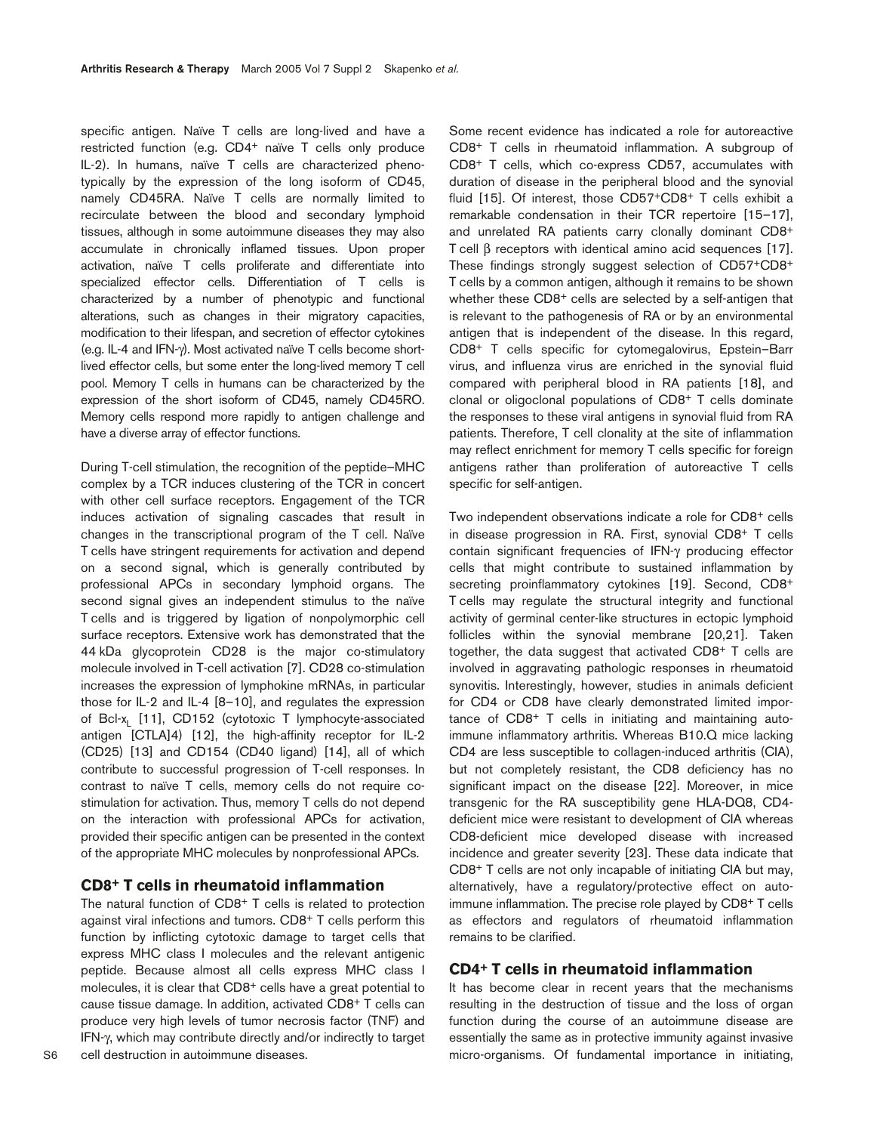specific antigen. Naïve T cells are long-lived and have a restricted function (e.g. CD4+ naïve T cells only produce IL-2). In humans, naïve T cells are characterized phenotypically by the expression of the long isoform of CD45, namely CD45RA. Naïve T cells are normally limited to recirculate between the blood and secondary lymphoid tissues, although in some autoimmune diseases they may also accumulate in chronically inflamed tissues. Upon proper activation, naïve T cells proliferate and differentiate into specialized effector cells. Differentiation of T cells is characterized by a number of phenotypic and functional alterations, such as changes in their migratory capacities, modification to their lifespan, and secretion of effector cytokines (e.g. IL-4 and IFN-γ). Most activated naïve T cells become shortlived effector cells, but some enter the long-lived memory T cell pool. Memory T cells in humans can be characterized by the expression of the short isoform of CD45, namely CD45RO. Memory cells respond more rapidly to antigen challenge and have a diverse array of effector functions.

During T-cell stimulation, the recognition of the peptide–MHC complex by a TCR induces clustering of the TCR in concert with other cell surface receptors. Engagement of the TCR induces activation of signaling cascades that result in changes in the transcriptional program of the T cell. Naïve T cells have stringent requirements for activation and depend on a second signal, which is generally contributed by professional APCs in secondary lymphoid organs. The second signal gives an independent stimulus to the naïve T cells and is triggered by ligation of nonpolymorphic cell surface receptors. Extensive work has demonstrated that the 44 kDa glycoprotein CD28 is the major co-stimulatory molecule involved in T-cell activation [7]. CD28 co-stimulation increases the expression of lymphokine mRNAs, in particular those for IL-2 and IL-4 [8–10], and regulates the expression of Bcl-x<sub>1</sub> [11], CD152 (cytotoxic T lymphocyte-associated antigen [CTLA]4) [12], the high-affinity receptor for IL-2 (CD25) [13] and CD154 (CD40 ligand) [14], all of which contribute to successful progression of T-cell responses. In contrast to naïve T cells, memory cells do not require costimulation for activation. Thus, memory T cells do not depend on the interaction with professional APCs for activation, provided their specific antigen can be presented in the context of the appropriate MHC molecules by nonprofessional APCs.

# **CD8+ T cells in rheumatoid inflammation**

The natural function of CD8<sup>+</sup> T cells is related to protection against viral infections and tumors. CD8+ T cells perform this function by inflicting cytotoxic damage to target cells that express MHC class I molecules and the relevant antigenic peptide. Because almost all cells express MHC class I molecules, it is clear that CD8<sup>+</sup> cells have a great potential to cause tissue damage. In addition, activated CD8+ T cells can produce very high levels of tumor necrosis factor (TNF) and IFN-γ, which may contribute directly and/or indirectly to target cell destruction in autoimmune diseases.

Some recent evidence has indicated a role for autoreactive CD8+ T cells in rheumatoid inflammation. A subgroup of CD8+ T cells, which co-express CD57, accumulates with duration of disease in the peripheral blood and the synovial fluid [15]. Of interest, those CD57+CD8+ T cells exhibit a remarkable condensation in their TCR repertoire [15–17], and unrelated RA patients carry clonally dominant CD8+ T cell β receptors with identical amino acid sequences [17]. These findings strongly suggest selection of CD57+CD8+ T cells by a common antigen, although it remains to be shown whether these CD8<sup>+</sup> cells are selected by a self-antigen that is relevant to the pathogenesis of RA or by an environmental antigen that is independent of the disease. In this regard, CD8+ T cells specific for cytomegalovirus, Epstein–Barr virus, and influenza virus are enriched in the synovial fluid compared with peripheral blood in RA patients [18], and clonal or oligoclonal populations of CD8+ T cells dominate the responses to these viral antigens in synovial fluid from RA patients. Therefore, T cell clonality at the site of inflammation may reflect enrichment for memory T cells specific for foreign antigens rather than proliferation of autoreactive T cells specific for self-antigen.

Two independent observations indicate a role for CD8+ cells in disease progression in RA. First, synovial CD8+ T cells contain significant frequencies of IFN-γ producing effector cells that might contribute to sustained inflammation by secreting proinflammatory cytokines [19]. Second, CD8<sup>+</sup> T cells may regulate the structural integrity and functional activity of germinal center-like structures in ectopic lymphoid follicles within the synovial membrane [20,21]. Taken together, the data suggest that activated CD8+ T cells are involved in aggravating pathologic responses in rheumatoid synovitis. Interestingly, however, studies in animals deficient for CD4 or CD8 have clearly demonstrated limited importance of CD8+ T cells in initiating and maintaining autoimmune inflammatory arthritis. Whereas B10.Q mice lacking CD4 are less susceptible to collagen-induced arthritis (CIA), but not completely resistant, the CD8 deficiency has no significant impact on the disease [22]. Moreover, in mice transgenic for the RA susceptibility gene HLA-DQ8, CD4 deficient mice were resistant to development of CIA whereas CD8-deficient mice developed disease with increased incidence and greater severity [23]. These data indicate that CD8+ T cells are not only incapable of initiating CIA but may, alternatively, have a regulatory/protective effect on autoimmune inflammation. The precise role played by CD8+ T cells as effectors and regulators of rheumatoid inflammation remains to be clarified.

## **CD4+ T cells in rheumatoid inflammation**

It has become clear in recent years that the mechanisms resulting in the destruction of tissue and the loss of organ function during the course of an autoimmune disease are essentially the same as in protective immunity against invasive micro-organisms. Of fundamental importance in initiating,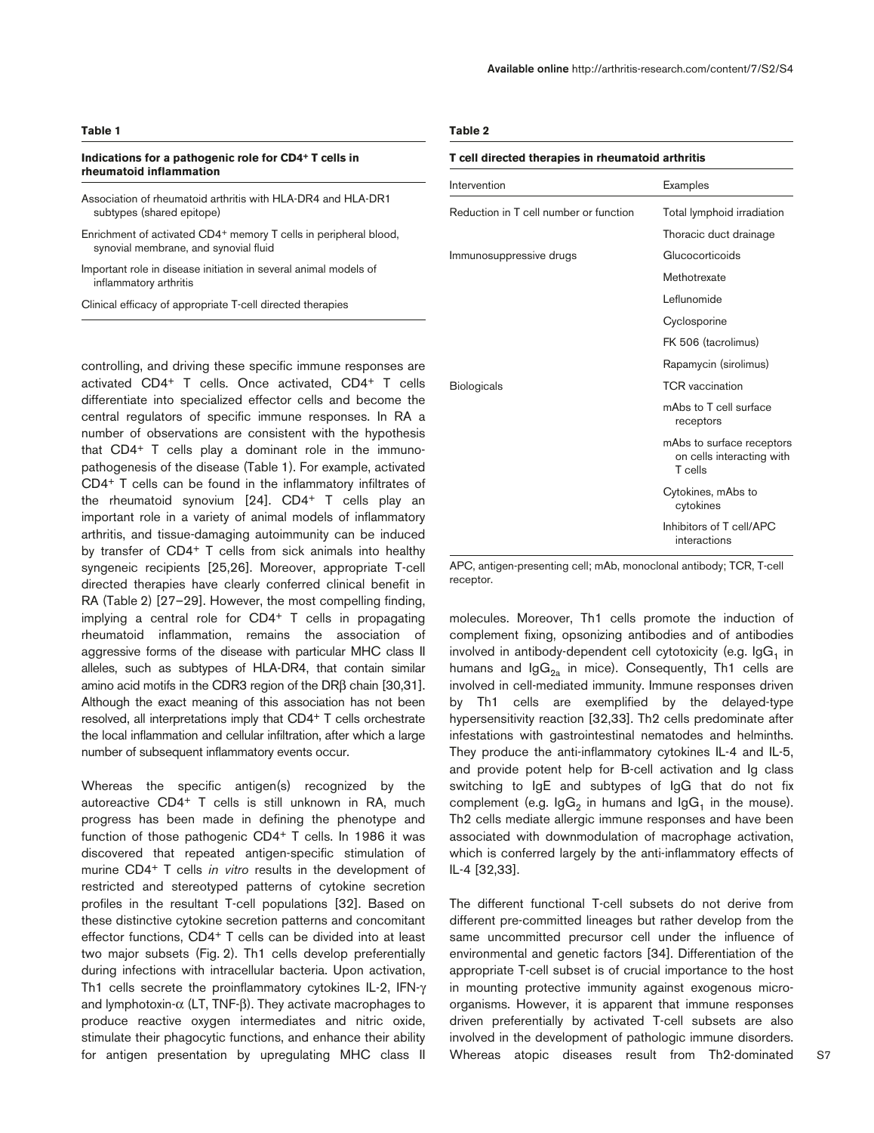#### **Indications for a pathogenic role for CD4+ T cells in rheumatoid inflammation**

- Association of rheumatoid arthritis with HLA-DR4 and HLA-DR1 subtypes (shared epitope)
- Enrichment of activated CD4<sup>+</sup> memory T cells in peripheral blood, synovial membrane, and synovial fluid
- Important role in disease initiation in several animal models of inflammatory arthritis

Clinical efficacy of appropriate T-cell directed therapies

controlling, and driving these specific immune responses are activated CD4+ T cells. Once activated, CD4+ T cells differentiate into specialized effector cells and become the central regulators of specific immune responses. In RA a number of observations are consistent with the hypothesis that CD4+ T cells play a dominant role in the immunopathogenesis of the disease (Table 1). For example, activated CD4+ T cells can be found in the inflammatory infiltrates of the rheumatoid synovium [24]. CD4+ T cells play an important role in a variety of animal models of inflammatory arthritis, and tissue-damaging autoimmunity can be induced by transfer of CD4+ T cells from sick animals into healthy syngeneic recipients [25,26]. Moreover, appropriate T-cell directed therapies have clearly conferred clinical benefit in RA (Table 2) [27–29]. However, the most compelling finding, implying a central role for CD4+ T cells in propagating rheumatoid inflammation, remains the association of aggressive forms of the disease with particular MHC class II alleles, such as subtypes of HLA-DR4, that contain similar amino acid motifs in the CDR3 region of the DRβ chain [30,31]. Although the exact meaning of this association has not been resolved, all interpretations imply that CD4+ T cells orchestrate the local inflammation and cellular infiltration, after which a large number of subsequent inflammatory events occur.

Whereas the specific antigen(s) recognized by the autoreactive CD4+ T cells is still unknown in RA, much progress has been made in defining the phenotype and function of those pathogenic CD4+ T cells. In 1986 it was discovered that repeated antigen-specific stimulation of murine CD4+ T cells *in vitro* results in the development of restricted and stereotyped patterns of cytokine secretion profiles in the resultant T-cell populations [32]. Based on these distinctive cytokine secretion patterns and concomitant effector functions, CD4+ T cells can be divided into at least two major subsets (Fig. 2). Th1 cells develop preferentially during infections with intracellular bacteria. Upon activation, Th1 cells secrete the proinflammatory cytokines IL-2, IFN-γ and lymphotoxin-α (LT, TNF-β). They activate macrophages to produce reactive oxygen intermediates and nitric oxide, stimulate their phagocytic functions, and enhance their ability for antigen presentation by upregulating MHC class II

#### **Table 2**

#### **T cell directed therapies in rheumatoid arthritis**

| Intervention                           | Examples                                                          |
|----------------------------------------|-------------------------------------------------------------------|
| Reduction in T cell number or function | Total lymphoid irradiation                                        |
|                                        | Thoracic duct drainage                                            |
| Immunosuppressive drugs                | Glucocorticoids                                                   |
|                                        | Methotrexate                                                      |
|                                        | Leflunomide                                                       |
|                                        | Cyclosporine                                                      |
|                                        | FK 506 (tacrolimus)                                               |
|                                        | Rapamycin (sirolimus)                                             |
| <b>Biologicals</b>                     | <b>TCR</b> vaccination                                            |
|                                        | mAbs to T cell surface<br>receptors                               |
|                                        | mAbs to surface receptors<br>on cells interacting with<br>T cells |
|                                        | Cytokines, mAbs to<br>cytokines                                   |
|                                        | Inhibitors of T cell/APC<br>interactions                          |

APC, antigen-presenting cell; mAb, monoclonal antibody; TCR, T-cell receptor.

molecules. Moreover, Th1 cells promote the induction of complement fixing, opsonizing antibodies and of antibodies involved in antibody-dependent cell cytotoxicity (e.g.  $\lg G_1$  in humans and  $\lg G_{2a}$  in mice). Consequently, Th1 cells are involved in cell-mediated immunity. Immune responses driven by Th1 cells are exemplified by the delayed-type hypersensitivity reaction [32,33]. Th2 cells predominate after infestations with gastrointestinal nematodes and helminths. They produce the anti-inflammatory cytokines IL-4 and IL-5, and provide potent help for B-cell activation and Ig class switching to IgE and subtypes of IgG that do not fix complement (e.g.  $\lg G_2$  in humans and  $\lg G_1$  in the mouse). Th2 cells mediate allergic immune responses and have been associated with downmodulation of macrophage activation, which is conferred largely by the anti-inflammatory effects of IL-4 [32,33].

The different functional T-cell subsets do not derive from different pre-committed lineages but rather develop from the same uncommitted precursor cell under the influence of environmental and genetic factors [34]. Differentiation of the appropriate T-cell subset is of crucial importance to the host in mounting protective immunity against exogenous microorganisms. However, it is apparent that immune responses driven preferentially by activated T-cell subsets are also involved in the development of pathologic immune disorders. Whereas atopic diseases result from Th2-dominated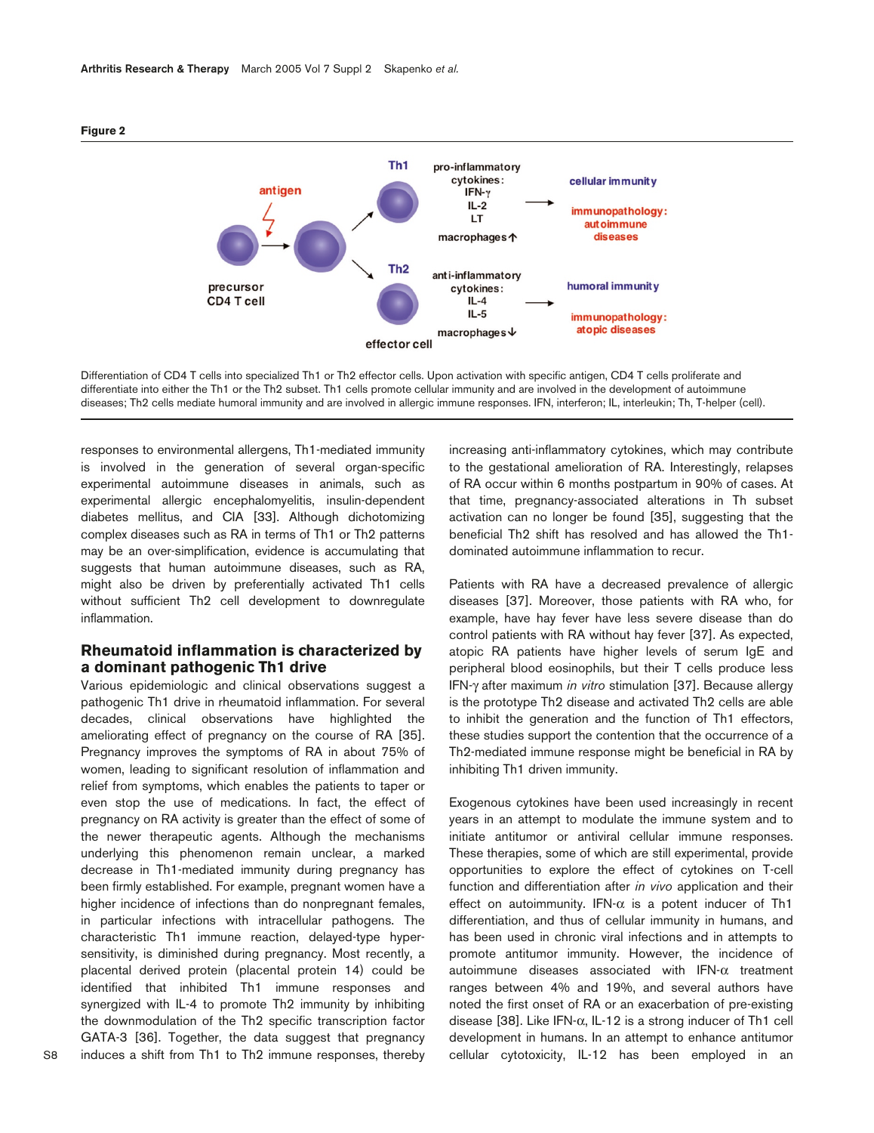

Differentiation of CD4 T cells into specialized Th1 or Th2 effector cells. Upon activation with specific antigen, CD4 T cells proliferate and differentiate into either the Th1 or the Th2 subset. Th1 cells promote cellular immunity and are involved in the development of autoimmune diseases; Th2 cells mediate humoral immunity and are involved in allergic immune responses. IFN, interferon; IL, interleukin; Th, T-helper (cell).

responses to environmental allergens, Th1-mediated immunity is involved in the generation of several organ-specific experimental autoimmune diseases in animals, such as experimental allergic encephalomyelitis, insulin-dependent diabetes mellitus, and CIA [33]. Although dichotomizing complex diseases such as RA in terms of Th1 or Th2 patterns may be an over-simplification, evidence is accumulating that suggests that human autoimmune diseases, such as RA, might also be driven by preferentially activated Th1 cells without sufficient Th2 cell development to downregulate inflammation.

# **Rheumatoid inflammation is characterized by a dominant pathogenic Th1 drive**

Various epidemiologic and clinical observations suggest a pathogenic Th1 drive in rheumatoid inflammation. For several decades, clinical observations have highlighted the ameliorating effect of pregnancy on the course of RA [35]. Pregnancy improves the symptoms of RA in about 75% of women, leading to significant resolution of inflammation and relief from symptoms, which enables the patients to taper or even stop the use of medications. In fact, the effect of pregnancy on RA activity is greater than the effect of some of the newer therapeutic agents. Although the mechanisms underlying this phenomenon remain unclear, a marked decrease in Th1-mediated immunity during pregnancy has been firmly established. For example, pregnant women have a higher incidence of infections than do nonpregnant females, in particular infections with intracellular pathogens. The characteristic Th1 immune reaction, delayed-type hypersensitivity, is diminished during pregnancy. Most recently, a placental derived protein (placental protein 14) could be identified that inhibited Th1 immune responses and synergized with IL-4 to promote Th2 immunity by inhibiting the downmodulation of the Th2 specific transcription factor GATA-3 [36]. Together, the data suggest that pregnancy induces a shift from Th1 to Th2 immune responses, thereby

increasing anti-inflammatory cytokines, which may contribute to the gestational amelioration of RA. Interestingly, relapses of RA occur within 6 months postpartum in 90% of cases. At that time, pregnancy-associated alterations in Th subset activation can no longer be found [35], suggesting that the beneficial Th2 shift has resolved and has allowed the Th1 dominated autoimmune inflammation to recur.

Patients with RA have a decreased prevalence of allergic diseases [37]. Moreover, those patients with RA who, for example, have hay fever have less severe disease than do control patients with RA without hay fever [37]. As expected, atopic RA patients have higher levels of serum IgE and peripheral blood eosinophils, but their T cells produce less IFN-γ after maximum *in vitro* stimulation [37]. Because allergy is the prototype Th2 disease and activated Th2 cells are able to inhibit the generation and the function of Th1 effectors, these studies support the contention that the occurrence of a Th2-mediated immune response might be beneficial in RA by inhibiting Th1 driven immunity.

Exogenous cytokines have been used increasingly in recent years in an attempt to modulate the immune system and to initiate antitumor or antiviral cellular immune responses. These therapies, some of which are still experimental, provide opportunities to explore the effect of cytokines on T-cell function and differentiation after *in vivo* application and their effect on autoimmunity. IFN- $\alpha$  is a potent inducer of Th1 differentiation, and thus of cellular immunity in humans, and has been used in chronic viral infections and in attempts to promote antitumor immunity. However, the incidence of autoimmune diseases associated with IFN-α treatment ranges between 4% and 19%, and several authors have noted the first onset of RA or an exacerbation of pre-existing disease [38]. Like IFN-α, IL-12 is a strong inducer of Th1 cell development in humans. In an attempt to enhance antitumor cellular cytotoxicity, IL-12 has been employed in an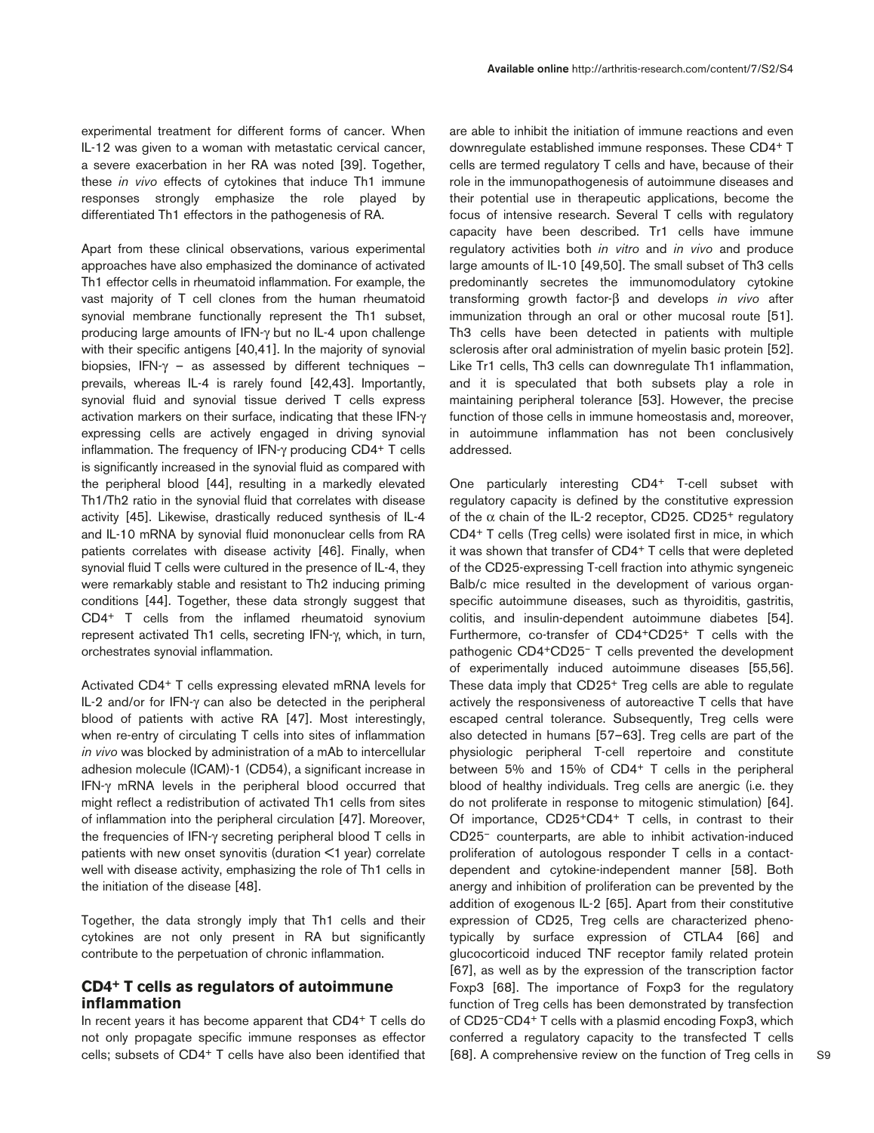experimental treatment for different forms of cancer. When IL-12 was given to a woman with metastatic cervical cancer, a severe exacerbation in her RA was noted [39]. Together, these *in vivo* effects of cytokines that induce Th1 immune responses strongly emphasize the role played by differentiated Th1 effectors in the pathogenesis of RA.

Apart from these clinical observations, various experimental approaches have also emphasized the dominance of activated Th1 effector cells in rheumatoid inflammation. For example, the vast majority of T cell clones from the human rheumatoid synovial membrane functionally represent the Th1 subset, producing large amounts of IFN-γ but no IL-4 upon challenge with their specific antigens [40,41]. In the majority of synovial biopsies, IFN- $\gamma$  – as assessed by different techniques – prevails, whereas IL-4 is rarely found [42,43]. Importantly, synovial fluid and synovial tissue derived T cells express activation markers on their surface, indicating that these IFN-γ expressing cells are actively engaged in driving synovial inflammation. The frequency of IFN-γ producing CD4+ T cells is significantly increased in the synovial fluid as compared with the peripheral blood [44], resulting in a markedly elevated Th1/Th2 ratio in the synovial fluid that correlates with disease activity [45]. Likewise, drastically reduced synthesis of IL-4 and IL-10 mRNA by synovial fluid mononuclear cells from RA patients correlates with disease activity [46]. Finally, when synovial fluid T cells were cultured in the presence of IL-4, they were remarkably stable and resistant to Th2 inducing priming conditions [44]. Together, these data strongly suggest that CD4+ T cells from the inflamed rheumatoid synovium represent activated Th1 cells, secreting IFN-γ, which, in turn, orchestrates synovial inflammation.

Activated CD4+ T cells expressing elevated mRNA levels for IL-2 and/or for IFN-γ can also be detected in the peripheral blood of patients with active RA [47]. Most interestingly, when re-entry of circulating T cells into sites of inflammation *in vivo* was blocked by administration of a mAb to intercellular adhesion molecule (ICAM)-1 (CD54), a significant increase in IFN-γ mRNA levels in the peripheral blood occurred that might reflect a redistribution of activated Th1 cells from sites of inflammation into the peripheral circulation [47]. Moreover, the frequencies of IFN-γ secreting peripheral blood T cells in patients with new onset synovitis (duration <1 year) correlate well with disease activity, emphasizing the role of Th1 cells in the initiation of the disease [48].

Together, the data strongly imply that Th1 cells and their cytokines are not only present in RA but significantly contribute to the perpetuation of chronic inflammation.

# **CD4+ T cells as regulators of autoimmune inflammation**

In recent years it has become apparent that CD4+ T cells do not only propagate specific immune responses as effector cells; subsets of CD4+ T cells have also been identified that are able to inhibit the initiation of immune reactions and even downregulate established immune responses. These CD4+ T cells are termed regulatory T cells and have, because of their role in the immunopathogenesis of autoimmune diseases and their potential use in therapeutic applications, become the focus of intensive research. Several T cells with regulatory capacity have been described. Tr1 cells have immune regulatory activities both *in vitro* and *in vivo* and produce large amounts of IL-10 [49,50]. The small subset of Th3 cells predominantly secretes the immunomodulatory cytokine transforming growth factor-β and develops *in vivo* after immunization through an oral or other mucosal route [51]. Th3 cells have been detected in patients with multiple sclerosis after oral administration of myelin basic protein [52]. Like Tr1 cells, Th3 cells can downregulate Th1 inflammation, and it is speculated that both subsets play a role in maintaining peripheral tolerance [53]. However, the precise function of those cells in immune homeostasis and, moreover, in autoimmune inflammation has not been conclusively addressed.

One particularly interesting CD4+ T-cell subset with regulatory capacity is defined by the constitutive expression of the  $α$  chain of the IL-2 receptor, CD25. CD25<sup>+</sup> regulatory CD4+ T cells (Treg cells) were isolated first in mice, in which it was shown that transfer of CD4+ T cells that were depleted of the CD25-expressing T-cell fraction into athymic syngeneic Balb/c mice resulted in the development of various organspecific autoimmune diseases, such as thyroiditis, gastritis, colitis, and insulin-dependent autoimmune diabetes [54]. Furthermore, co-transfer of CD4+CD25+ T cells with the pathogenic CD4+CD25– T cells prevented the development of experimentally induced autoimmune diseases [55,56]. These data imply that CD25+ Treg cells are able to regulate actively the responsiveness of autoreactive T cells that have escaped central tolerance. Subsequently, Treg cells were also detected in humans [57–63]. Treg cells are part of the physiologic peripheral T-cell repertoire and constitute between 5% and 15% of CD4+ T cells in the peripheral blood of healthy individuals. Treg cells are anergic (i.e. they do not proliferate in response to mitogenic stimulation) [64]. Of importance, CD25+CD4+ T cells, in contrast to their CD25– counterparts, are able to inhibit activation-induced proliferation of autologous responder T cells in a contactdependent and cytokine-independent manner [58]. Both anergy and inhibition of proliferation can be prevented by the addition of exogenous IL-2 [65]. Apart from their constitutive expression of CD25, Treg cells are characterized phenotypically by surface expression of CTLA4 [66] and glucocorticoid induced TNF receptor family related protein [67], as well as by the expression of the transcription factor Foxp3 [68]. The importance of Foxp3 for the regulatory function of Treg cells has been demonstrated by transfection of CD25–CD4+ T cells with a plasmid encoding Foxp3, which conferred a regulatory capacity to the transfected T cells [68]. A comprehensive review on the function of Treg cells in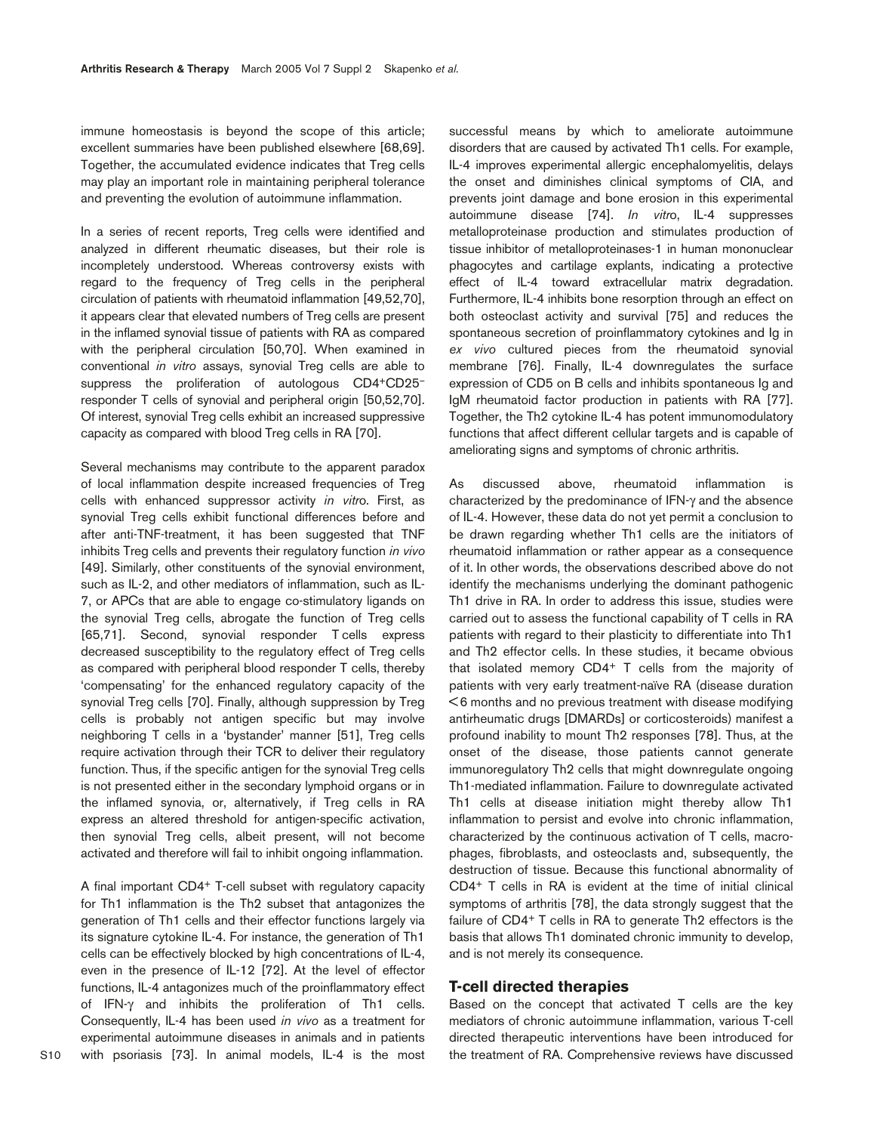immune homeostasis is beyond the scope of this article; excellent summaries have been published elsewhere [68,69]. Together, the accumulated evidence indicates that Treg cells may play an important role in maintaining peripheral tolerance and preventing the evolution of autoimmune inflammation.

In a series of recent reports, Treg cells were identified and analyzed in different rheumatic diseases, but their role is incompletely understood. Whereas controversy exists with regard to the frequency of Treg cells in the peripheral circulation of patients with rheumatoid inflammation [49,52,70], it appears clear that elevated numbers of Treg cells are present in the inflamed synovial tissue of patients with RA as compared with the peripheral circulation [50,70]. When examined in conventional *in vitro* assays, synovial Treg cells are able to suppress the proliferation of autologous CD4+CD25– responder T cells of synovial and peripheral origin [50,52,70]. Of interest, synovial Treg cells exhibit an increased suppressive capacity as compared with blood Treg cells in RA [70].

Several mechanisms may contribute to the apparent paradox of local inflammation despite increased frequencies of Treg cells with enhanced suppressor activity *in vitr*o. First, as synovial Treg cells exhibit functional differences before and after anti-TNF-treatment, it has been suggested that TNF inhibits Treg cells and prevents their regulatory function *in vivo* [49]. Similarly, other constituents of the synovial environment, such as IL-2, and other mediators of inflammation, such as IL-7, or APCs that are able to engage co-stimulatory ligands on the synovial Treg cells, abrogate the function of Treg cells [65,71]. Second, synovial responder T cells express decreased susceptibility to the regulatory effect of Treg cells as compared with peripheral blood responder T cells, thereby 'compensating' for the enhanced regulatory capacity of the synovial Treg cells [70]. Finally, although suppression by Treg cells is probably not antigen specific but may involve neighboring T cells in a 'bystander' manner [51], Treg cells require activation through their TCR to deliver their regulatory function. Thus, if the specific antigen for the synovial Treg cells is not presented either in the secondary lymphoid organs or in the inflamed synovia, or, alternatively, if Treg cells in RA express an altered threshold for antigen-specific activation, then synovial Treg cells, albeit present, will not become activated and therefore will fail to inhibit ongoing inflammation.

A final important CD4+ T-cell subset with regulatory capacity for Th1 inflammation is the Th2 subset that antagonizes the generation of Th1 cells and their effector functions largely via its signature cytokine IL-4. For instance, the generation of Th1 cells can be effectively blocked by high concentrations of IL-4, even in the presence of IL-12 [72]. At the level of effector functions, IL-4 antagonizes much of the proinflammatory effect of IFN-γ and inhibits the proliferation of Th1 cells. Consequently, IL-4 has been used *in vivo* as a treatment for experimental autoimmune diseases in animals and in patients with psoriasis [73]. In animal models, IL-4 is the most

successful means by which to ameliorate autoimmune disorders that are caused by activated Th1 cells. For example, IL-4 improves experimental allergic encephalomyelitis, delays the onset and diminishes clinical symptoms of CIA, and prevents joint damage and bone erosion in this experimental autoimmune disease [74]. *In vitr*o, IL-4 suppresses metalloproteinase production and stimulates production of tissue inhibitor of metalloproteinases-1 in human mononuclear phagocytes and cartilage explants, indicating a protective effect of IL-4 toward extracellular matrix degradation. Furthermore, IL-4 inhibits bone resorption through an effect on both osteoclast activity and survival [75] and reduces the spontaneous secretion of proinflammatory cytokines and Ig in *ex vivo* cultured pieces from the rheumatoid synovial membrane [76]. Finally, IL-4 downregulates the surface expression of CD5 on B cells and inhibits spontaneous Ig and IgM rheumatoid factor production in patients with RA [77]. Together, the Th2 cytokine IL-4 has potent immunomodulatory functions that affect different cellular targets and is capable of ameliorating signs and symptoms of chronic arthritis.

As discussed above, rheumatoid inflammation is characterized by the predominance of IFN-γ and the absence of IL-4. However, these data do not yet permit a conclusion to be drawn regarding whether Th1 cells are the initiators of rheumatoid inflammation or rather appear as a consequence of it. In other words, the observations described above do not identify the mechanisms underlying the dominant pathogenic Th1 drive in RA. In order to address this issue, studies were carried out to assess the functional capability of T cells in RA patients with regard to their plasticity to differentiate into Th1 and Th2 effector cells. In these studies, it became obvious that isolated memory CD4+ T cells from the majority of patients with very early treatment-naïve RA (disease duration < 6 months and no previous treatment with disease modifying antirheumatic drugs [DMARDs] or corticosteroids) manifest a profound inability to mount Th2 responses [78]. Thus, at the onset of the disease, those patients cannot generate immunoregulatory Th2 cells that might downregulate ongoing Th1-mediated inflammation. Failure to downregulate activated Th1 cells at disease initiation might thereby allow Th1 inflammation to persist and evolve into chronic inflammation, characterized by the continuous activation of T cells, macrophages, fibroblasts, and osteoclasts and, subsequently, the destruction of tissue. Because this functional abnormality of CD4+ T cells in RA is evident at the time of initial clinical symptoms of arthritis [78], the data strongly suggest that the failure of CD4+ T cells in RA to generate Th2 effectors is the basis that allows Th1 dominated chronic immunity to develop, and is not merely its consequence.

## **T-cell directed therapies**

Based on the concept that activated T cells are the key mediators of chronic autoimmune inflammation, various T-cell directed therapeutic interventions have been introduced for the treatment of RA. Comprehensive reviews have discussed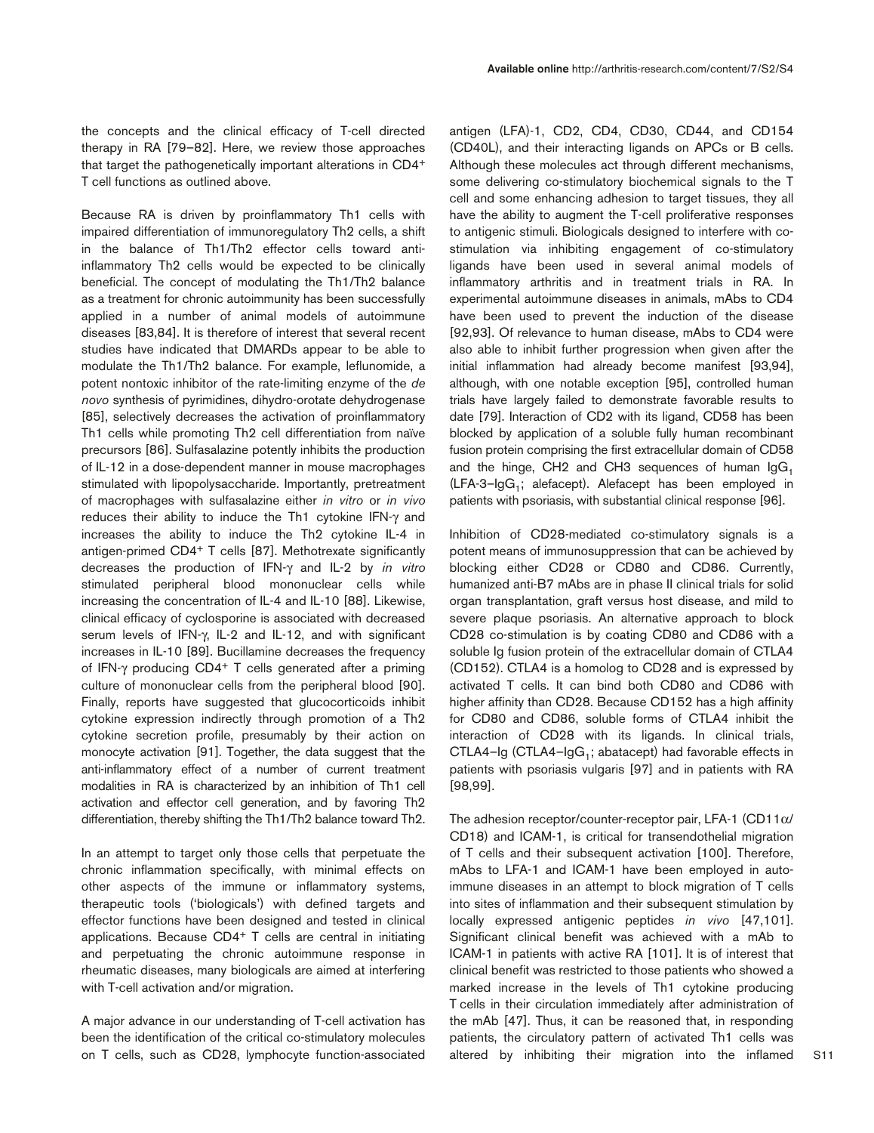the concepts and the clinical efficacy of T-cell directed therapy in RA [79–82]. Here, we review those approaches that target the pathogenetically important alterations in CD4+ T cell functions as outlined above.

Because RA is driven by proinflammatory Th1 cells with impaired differentiation of immunoregulatory Th2 cells, a shift in the balance of Th1/Th2 effector cells toward antiinflammatory Th2 cells would be expected to be clinically beneficial. The concept of modulating the Th1/Th2 balance as a treatment for chronic autoimmunity has been successfully applied in a number of animal models of autoimmune diseases [83,84]. It is therefore of interest that several recent studies have indicated that DMARDs appear to be able to modulate the Th1/Th2 balance. For example, leflunomide, a potent nontoxic inhibitor of the rate-limiting enzyme of the *de novo* synthesis of pyrimidines, dihydro-orotate dehydrogenase [85], selectively decreases the activation of proinflammatory Th1 cells while promoting Th2 cell differentiation from naïve precursors [86]. Sulfasalazine potently inhibits the production of IL-12 in a dose-dependent manner in mouse macrophages stimulated with lipopolysaccharide. Importantly, pretreatment of macrophages with sulfasalazine either *in vitro* or *in vivo* reduces their ability to induce the Th1 cytokine IFN-γ and increases the ability to induce the Th2 cytokine IL-4 in antigen-primed CD4+ T cells [87]. Methotrexate significantly decreases the production of IFN-γ and IL-2 by *in vitro* stimulated peripheral blood mononuclear cells while increasing the concentration of IL-4 and IL-10 [88]. Likewise, clinical efficacy of cyclosporine is associated with decreased serum levels of IFN-γ, IL-2 and IL-12, and with significant increases in IL-10 [89]. Bucillamine decreases the frequency of IFN-γ producing CD4+ T cells generated after a priming culture of mononuclear cells from the peripheral blood [90]. Finally, reports have suggested that glucocorticoids inhibit cytokine expression indirectly through promotion of a Th2 cytokine secretion profile, presumably by their action on monocyte activation [91]. Together, the data suggest that the anti-inflammatory effect of a number of current treatment modalities in RA is characterized by an inhibition of Th1 cell activation and effector cell generation, and by favoring Th2 differentiation, thereby shifting the Th1/Th2 balance toward Th2.

In an attempt to target only those cells that perpetuate the chronic inflammation specifically, with minimal effects on other aspects of the immune or inflammatory systems, therapeutic tools ('biologicals') with defined targets and effector functions have been designed and tested in clinical applications. Because CD4+ T cells are central in initiating and perpetuating the chronic autoimmune response in rheumatic diseases, many biologicals are aimed at interfering with T-cell activation and/or migration.

A major advance in our understanding of T-cell activation has been the identification of the critical co-stimulatory molecules on T cells, such as CD28, lymphocyte function-associated antigen (LFA)-1, CD2, CD4, CD30, CD44, and CD154 (CD40L), and their interacting ligands on APCs or B cells. Although these molecules act through different mechanisms, some delivering co-stimulatory biochemical signals to the T cell and some enhancing adhesion to target tissues, they all have the ability to augment the T-cell proliferative responses to antigenic stimuli. Biologicals designed to interfere with costimulation via inhibiting engagement of co-stimulatory ligands have been used in several animal models of inflammatory arthritis and in treatment trials in RA. In experimental autoimmune diseases in animals, mAbs to CD4 have been used to prevent the induction of the disease [92,93]. Of relevance to human disease, mAbs to CD4 were also able to inhibit further progression when given after the initial inflammation had already become manifest [93,94], although, with one notable exception [95], controlled human trials have largely failed to demonstrate favorable results to date [79]. Interaction of CD2 with its ligand, CD58 has been blocked by application of a soluble fully human recombinant fusion protein comprising the first extracellular domain of CD58 and the hinge, CH2 and CH3 sequences of human  $\lg G_1$  $(LFA-3-lgG<sub>1</sub>; alefacept)$ . Alefacept has been employed in patients with psoriasis, with substantial clinical response [96].

Inhibition of CD28-mediated co-stimulatory signals is a potent means of immunosuppression that can be achieved by blocking either CD28 or CD80 and CD86. Currently, humanized anti-B7 mAbs are in phase II clinical trials for solid organ transplantation, graft versus host disease, and mild to severe plaque psoriasis. An alternative approach to block CD28 co-stimulation is by coating CD80 and CD86 with a soluble Ig fusion protein of the extracellular domain of CTLA4 (CD152). CTLA4 is a homolog to CD28 and is expressed by activated T cells. It can bind both CD80 and CD86 with higher affinity than CD28. Because CD152 has a high affinity for CD80 and CD86, soluble forms of CTLA4 inhibit the interaction of CD28 with its ligands. In clinical trials, CTLA4– $Ig$  (CTLA4– $IgG_1$ ; abatacept) had favorable effects in patients with psoriasis vulgaris [97] and in patients with RA [98,99].

The adhesion receptor/counter-receptor pair, LFA-1 (CD11 $\alpha$ / CD18) and ICAM-1, is critical for transendothelial migration of T cells and their subsequent activation [100]. Therefore, mAbs to LFA-1 and ICAM-1 have been employed in autoimmune diseases in an attempt to block migration of T cells into sites of inflammation and their subsequent stimulation by locally expressed antigenic peptides *in vivo* [47,101]. Significant clinical benefit was achieved with a mAb to ICAM-1 in patients with active RA [101]. It is of interest that clinical benefit was restricted to those patients who showed a marked increase in the levels of Th1 cytokine producing T cells in their circulation immediately after administration of the mAb [47]. Thus, it can be reasoned that, in responding patients, the circulatory pattern of activated Th1 cells was altered by inhibiting their migration into the inflamed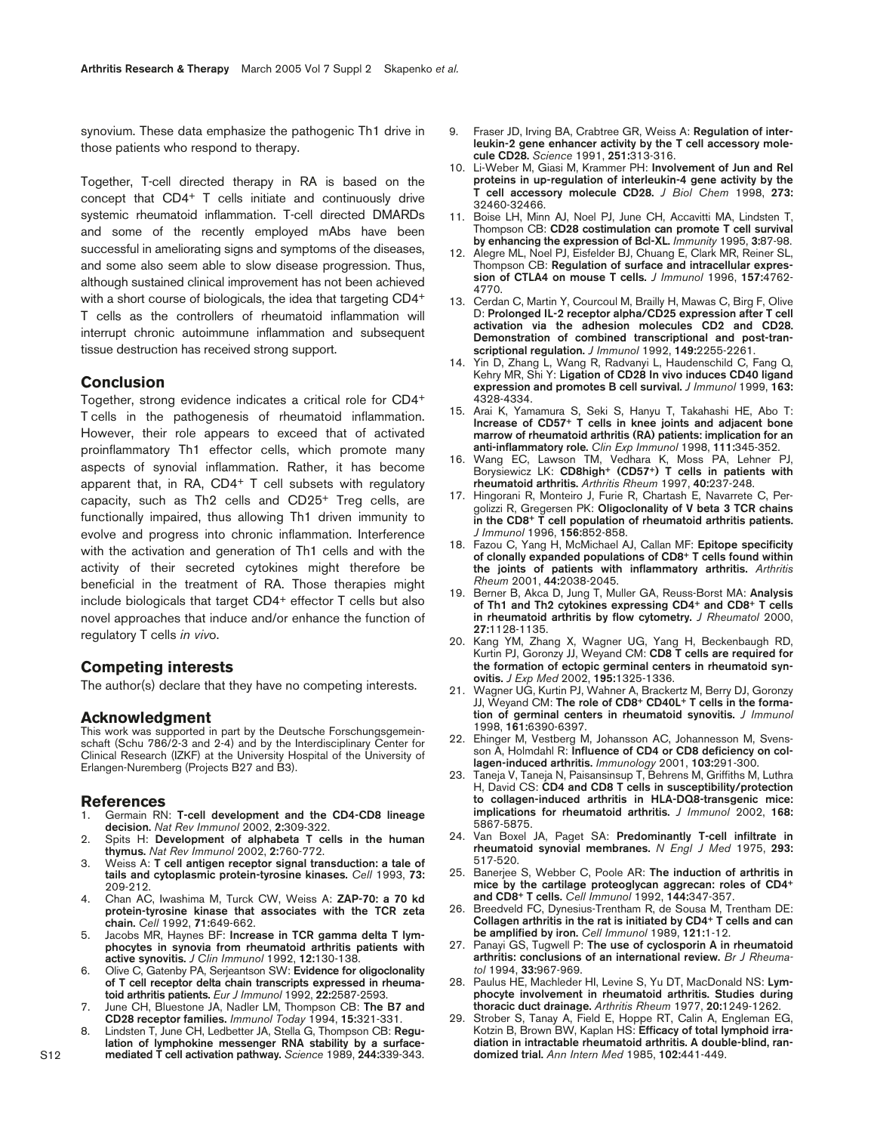synovium. These data emphasize the pathogenic Th1 drive in those patients who respond to therapy.

Together, T-cell directed therapy in RA is based on the concept that CD4+ T cells initiate and continuously drive systemic rheumatoid inflammation. T-cell directed DMARDs and some of the recently employed mAbs have been successful in ameliorating signs and symptoms of the diseases, and some also seem able to slow disease progression. Thus, although sustained clinical improvement has not been achieved with a short course of biologicals, the idea that targeting CD4<sup>+</sup> T cells as the controllers of rheumatoid inflammation will interrupt chronic autoimmune inflammation and subsequent tissue destruction has received strong support.

# **Conclusion**

Together, strong evidence indicates a critical role for CD4+ T cells in the pathogenesis of rheumatoid inflammation. However, their role appears to exceed that of activated proinflammatory Th1 effector cells, which promote many aspects of synovial inflammation. Rather, it has become apparent that, in RA, CD4+ T cell subsets with regulatory capacity, such as Th2 cells and CD25+ Treg cells, are functionally impaired, thus allowing Th1 driven immunity to evolve and progress into chronic inflammation. Interference with the activation and generation of Th1 cells and with the activity of their secreted cytokines might therefore be beneficial in the treatment of RA. Those therapies might include biologicals that target CD4+ effector T cells but also novel approaches that induce and/or enhance the function of regulatory T cells *in viv*o.

## **Competing interests**

The author(s) declare that they have no competing interests.

## **Acknowledgment**

This work was supported in part by the Deutsche Forschungsgemeinschaft (Schu 786/2-3 and 2-4) and by the Interdisciplinary Center for Clinical Research (IZKF) at the University Hospital of the University of Erlangen-Nuremberg (Projects B27 and B3).

#### **References**

- 1. Germain RN: **T-cell development and the CD4-CD8 lineage decision.** *Nat Rev Immunol* 2002, **2:**309-322.
- 2. Spits H: **Development of alphabeta T cells in the human thymus.** *Nat Rev Immunol* 2002, **2:**760-772.
- 3. Weiss A: **T cell antigen receptor signal transduction: a tale of tails and cytoplasmic protein-tyrosine kinases.** *Cell* 1993, **73:** 209-212.
- 4. Chan AC, Iwashima M, Turck CW, Weiss A: **ZAP-70: a 70 kd protein-tyrosine kinase that associates with the TCR zeta chain.** *Cell* 1992, **71:**649-662.
- 5. Jacobs MR, Haynes BF: **Increase in TCR gamma delta T lymphocytes in synovia from rheumatoid arthritis patients with active synovitis.** *J Clin Immunol* 1992, **12:**130-138.
- 6. Olive C, Gatenby PA, Serjeantson SW: **Evidence for oligoclonality of T cell receptor delta chain transcripts expressed in rheumatoid arthritis patients.** *Eur J Immunol* 1992, **22:**2587-2593.
- June CH, Bluestone JA, Nadler LM, Thompson CB: The B7 and **CD28 receptor families.** *Immunol Today* 1994, **15:**321-331.
- 8. Lindsten T, June CH, Ledbetter JA, Stella G, Thompson CB: **Regulation of lymphokine messenger RNA stability by a surfacemediated T cell activation pathway.** *Science* 1989, **244:**339-343.
- 9. Fraser JD, Irving BA, Crabtree GR, Weiss A: **Regulation of interleukin-2 gene enhancer activity by the T cell accessory molecule CD28.** *Science* 1991, **251:**313-316.
- 10. Li-Weber M, Giasi M, Krammer PH: **Involvement of Jun and Rel proteins in up-regulation of interleukin-4 gene activity by the T cell accessory molecule CD28.** *J Biol Chem* 1998, **273:** 32460-32466.
- 11. Boise LH, Minn AJ, Noel PJ, June CH, Accavitti MA, Lindsten T, Thompson CB: **CD28 costimulation can promote T cell survival by enhancing the expression of Bcl-XL.** *Immunity* 1995, **3:**87-98.
- 12. Alegre ML, Noel PJ, Eisfelder BJ, Chuang E, Clark MR, Reiner SL, Thompson CB: **Regulation of surface and intracellular expression of CTLA4 on mouse T cells.** *J Immunol* 1996, **157:**4762- 4770.
- 13. Cerdan C, Martin Y, Courcoul M, Brailly H, Mawas C, Birg F, Olive D: **Prolonged IL-2 receptor alpha/CD25 expression after T cell activation via the adhesion molecules CD2 and CD28. Demonstration of combined transcriptional and post-transcriptional regulation.** *J Immunol* 1992, **149:**2255-2261.
- 14. Yin D, Zhang L, Wang R, Radvanyi L, Haudenschild C, Fang Q, Kehry MR, Shi Y: **Ligation of CD28 In vivo induces CD40 ligand expression and promotes B cell survival.** *J Immunol* 1999, **163:** 4328-4334.
- 15. Arai K, Yamamura S, Seki S, Hanyu T, Takahashi HE, Abo T: **Increase of CD57+ T cells in knee joints and adjacent bone marrow of rheumatoid arthritis (RA) patients: implication for an anti-inflammatory role.** *Clin Exp Immunol* 1998, **111:**345-352.
- 16. Wang EC, Lawson TM, Vedhara K, Moss PA, Lehner PJ, Borysiewicz LK: **CD8high+ (CD57+) T cells in patients with rheumatoid arthritis.** *Arthritis Rheum* 1997, **40:**237-248.
- 17. Hingorani R, Monteiro J, Furie R, Chartash E, Navarrete C, Pergolizzi R, Gregersen PK: **Oligoclonality of V beta 3 TCR chains in the CD8+ T cell population of rheumatoid arthritis patients.** *J Immunol* 1996, **156:**852-858.
- 18. Fazou C, Yang H, McMichael AJ, Callan MF: **Epitope specificity of clonally expanded populations of CD8+ T cells found within the joints of patients with inflammatory arthritis.** *Arthritis Rheum* 2001, **44:**2038-2045.
- 19. Berner B, Akca D, Jung T, Muller GA, Reuss-Borst MA: **Analysis of Th1 and Th2 cytokines expressing CD4+ and CD8+ T cells in rheumatoid arthritis by flow cytometry.** *J Rheumatol* 2000, **27:**1128-1135.
- 20. Kang YM, Zhang X, Wagner UG, Yang H, Beckenbaugh RD, Kurtin PJ, Goronzy JJ, Weyand CM: **CD8 T cells are required for the formation of ectopic germinal centers in rheumatoid synovitis.** *J Exp Med* 2002, **195:**1325-1336.
- 21. Wagner UG, Kurtin PJ, Wahner A, Brackertz M, Berry DJ, Goronzy JJ, Weyand CM: **The role of CD8+ CD40L+ T cells in the formation of germinal centers in rheumatoid synovitis.** *J Immunol* 1998, **161:**6390-6397.
- 22. Ehinger M, Vestberg M, Johansson AC, Johannesson M, Svensson A, Holmdahl R: **Influence of CD4 or CD8 deficiency on collagen-induced arthritis.** *Immunology* 2001, **103:**291-300.
- 23. Taneja V, Taneja N, Paisansinsup T, Behrens M, Griffiths M, Luthra H, David CS: **CD4 and CD8 T cells in susceptibility/protection to collagen-induced arthritis in HLA-DQ8-transgenic mice: implications for rheumatoid arthritis.** *J Immunol* 2002, **168:** 5867-5875.
- 24. Van Boxel JA, Paget SA: **Predominantly T-cell infiltrate in rheumatoid synovial membranes.** *N Engl J Med* 1975, **293:** 517-520.
- 25. Banerjee S, Webber C, Poole AR: **The induction of arthritis in mice by the cartilage proteoglycan aggrecan: roles of CD4+ and CD8+ T cells.** *Cell Immunol* 1992, **144:**347-357.
- 26. Breedveld FC, Dynesius-Trentham R, de Sousa M, Trentham DE: **Collagen arthritis in the rat is initiated by CD4+ T cells and can be amplified by iron.** *Cell Immunol* 1989, **121:**1-12.
- 27. Panayi GS, Tugwell P: **The use of cyclosporin A in rheumatoid arthritis: conclusions of an international review.** *Br J Rheumatol* 1994, **33:**967-969.
- 28. Paulus HE, Machleder HI, Levine S, Yu DT, MacDonald NS: **Lymphocyte involvement in rheumatoid arthritis. Studies during thoracic duct drainage.** *Arthritis Rheum* 1977, **20:**1249-1262.
- 29. Strober S, Tanay A, Field E, Hoppe RT, Calin A, Engleman EG, Kotzin B, Brown BW, Kaplan HS: **Efficacy of total lymphoid irradiation in intractable rheumatoid arthritis. A double-blind, randomized trial.** *Ann Intern Med* 1985, **102:**441-449.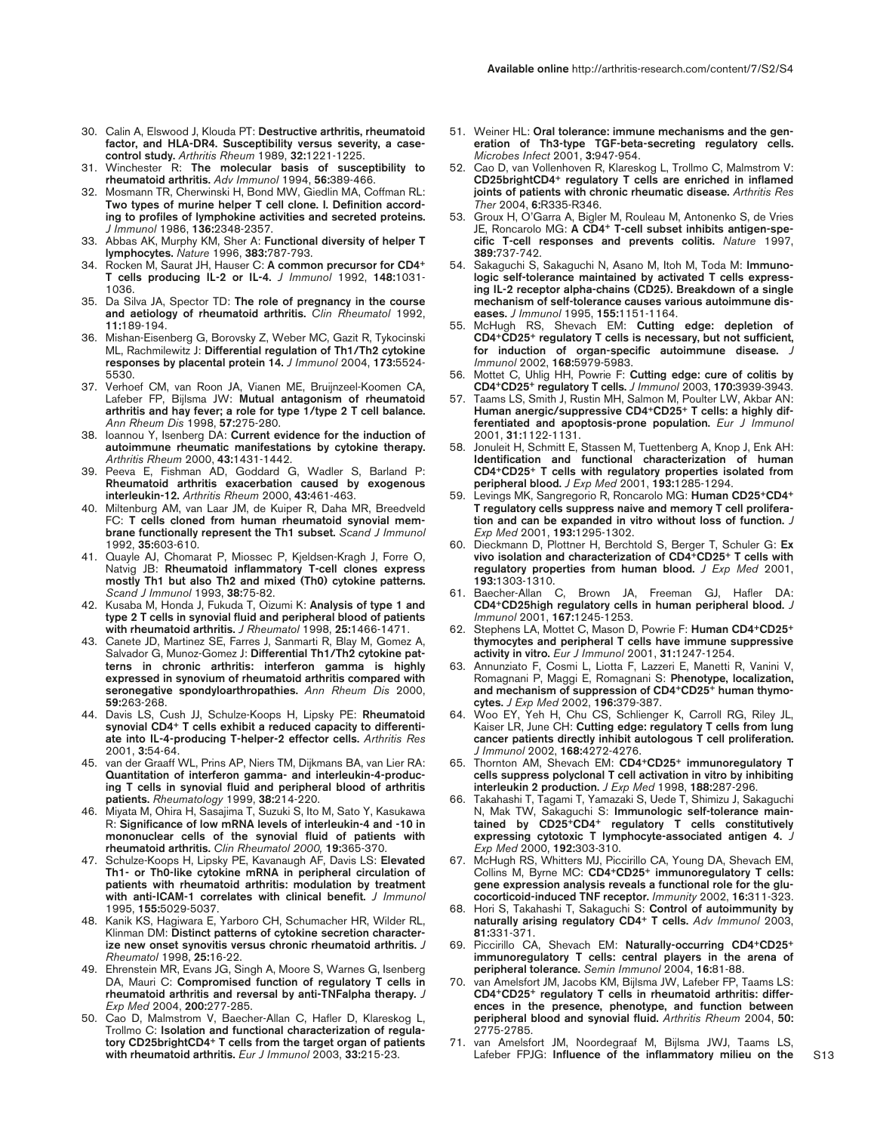- 30. Calin A, Elswood J, Klouda PT: **Destructive arthritis, rheumatoid factor, and HLA-DR4. Susceptibility versus severity, a casecontrol study.** *Arthritis Rheum* 1989, **32:**1221-1225.
- 31. Winchester R: **The molecular basis of susceptibility to rheumatoid arthritis.** *Adv Immunol* 1994, **56:**389-466.
- 32. Mosmann TR, Cherwinski H, Bond MW, Giedlin MA, Coffman RL: **Two types of murine helper T cell clone. I. Definition according to profiles of lymphokine activities and secreted proteins.** *J Immunol* 1986, **136:**2348-2357.
- 33. Abbas AK, Murphy KM, Sher A: **Functional diversity of helper T lymphocytes.** *Nature* 1996, **383:**787-793.
- 34. Rocken M, Saurat JH, Hauser C: **A common precursor for CD4+ T cells producing IL-2 or IL-4.** *J Immunol* 1992, **148:**1031- 1036.
- 35. Da Silva JA, Spector TD: **The role of pregnancy in the course and aetiology of rheumatoid arthritis.** *Clin Rheumatol* 1992, **11:**189-194.
- 36. Mishan-Eisenberg G, Borovsky Z, Weber MC, Gazit R, Tykocinski ML, Rachmilewitz J: **Differential regulation of Th1/Th2 cytokine responses by placental protein 14.** *J Immunol* 2004, **173:**5524- 5530.
- 37. Verhoef CM, van Roon JA, Vianen ME, Bruijnzeel-Koomen CA, Lafeber FP, Bijlsma JW: **Mutual antagonism of rheumatoid arthritis and hay fever; a role for type 1/type 2 T cell balance.** *Ann Rheum Dis* 1998, **57:**275-280.
- 38. Ioannou Y, Isenberg DA: **Current evidence for the induction of autoimmune rheumatic manifestations by cytokine therapy.** *Arthritis Rheum* 2000, **43:**1431-1442.
- 39. Peeva E, Fishman AD, Goddard G, Wadler S, Barland P: **Rheumatoid arthritis exacerbation caused by exogenous interleukin-12.** *Arthritis Rheum* 2000, **43:**461-463.
- 40. Miltenburg AM, van Laar JM, de Kuiper R, Daha MR, Breedveld FC: **T cells cloned from human rheumatoid synovial membrane functionally represent the Th1 subset.** *Scand J Immunol* 1992, **35:**603-610.
- 41. Quayle AJ, Chomarat P, Miossec P, Kjeldsen-Kragh J, Forre O, Natvig JB: **Rheumatoid inflammatory T-cell clones express mostly Th1 but also Th2 and mixed (Th0) cytokine patterns.** *Scand J Immunol* 1993, **38:**75-82.
- 42. Kusaba M, Honda J, Fukuda T, Oizumi K: **Analysis of type 1 and type 2 T cells in synovial fluid and peripheral blood of patients with rheumatoid arthritis.** *J Rheumatol* 1998, **25:**1466-1471.
- 43. Canete JD, Martinez SE, Farres J, Sanmarti R, Blay M, Gomez A, Salvador G, Munoz-Gomez J: **Differential Th1/Th2 cytokine patterns in chronic arthritis: interferon gamma is highly expressed in synovium of rheumatoid arthritis compared with seronegative spondyloarthropathies.** *Ann Rheum Dis* 2000, **59:**263-268.
- 44. Davis LS, Cush JJ, Schulze-Koops H, Lipsky PE: **Rheumatoid synovial CD4+ T cells exhibit a reduced capacity to differentiate into IL-4-producing T-helper-2 effector cells.** *Arthritis Res* 2001, **3:**54-64.
- 45. van der Graaff WL, Prins AP, Niers TM, Dijkmans BA, van Lier RA: **Quantitation of interferon gamma- and interleukin-4-producing T cells in synovial fluid and peripheral blood of arthritis patients.** *Rheumatology* 1999, **38:**214-220.
- 46. Miyata M, Ohira H, Sasajima T, Suzuki S, Ito M, Sato Y, Kasukawa R: **Significance of low mRNA levels of interleukin-4 and -10 in mononuclear cells of the synovial fluid of patients with rheumatoid arthritis.** *Clin Rheumatol 2000,* **19:**365-370.
- 47. Schulze-Koops H, Lipsky PE, Kavanaugh AF, Davis LS: **Elevated Th1- or Th0-like cytokine mRNA in peripheral circulation of patients with rheumatoid arthritis: modulation by treatment with anti-ICAM-1 correlates with clinical benefit.** *J Immunol* 1995, **155:**5029-5037.
- 48. Kanik KS, Hagiwara E, Yarboro CH, Schumacher HR, Wilder RL, Klinman DM: **Distinct patterns of cytokine secretion characterize new onset synovitis versus chronic rheumatoid arthritis.** *J Rheumatol* 1998, **25:**16-22.
- 49. Ehrenstein MR, Evans JG, Singh A, Moore S, Warnes G, Isenberg DA, Mauri C: **Compromised function of regulatory T cells in rheumatoid arthritis and reversal by anti-TNFalpha therapy.** *J Exp Med* 2004, **200:**277-285.
- 50. Cao D, Malmstrom V, Baecher-Allan C, Hafler D, Klareskog L, Trollmo C: **Isolation and functional characterization of regulatory CD25brightCD4+ T cells from the target organ of patients with rheumatoid arthritis.** *Eur J Immunol* 2003, **33:**215-23.
- 51. Weiner HL: **Oral tolerance: immune mechanisms and the generation of Th3-type TGF-beta-secreting regulatory cells.** *Microbes Infect* 2001, **3:**947-954.
- 52. Cao D, van Vollenhoven R, Klareskog L, Trollmo C, Malmstrom V: **CD25brightCD4+ regulatory T cells are enriched in inflamed joints of patients with chronic rheumatic disease.** *Arthritis Res Ther* 2004, **6:**R335-R346.
- 53. Groux H, O'Garra A, Bigler M, Rouleau M, Antonenko S, de Vries JE, Roncarolo MG: **A CD4+ T-cell subset inhibits antigen-specific T-cell responses and prevents colitis.** *Nature* 1997, **389:**737-742.
- 54. Sakaguchi S, Sakaguchi N, Asano M, Itoh M, Toda M: **Immunologic self-tolerance maintained by activated T cells expressing IL-2 receptor alpha-chains (CD25). Breakdown of a single mechanism of self-tolerance causes various autoimmune diseases.** *J Immunol* 1995, **155:**1151-1164.
- 55. McHugh RS, Shevach EM: **Cutting edge: depletion of CD4+CD25+ regulatory T cells is necessary, but not sufficient, for induction of organ-specific autoimmune disease.** *J Immunol* 2002, **168:**5979-5983.
- 56. Mottet C, Uhlig HH, Powrie F: **Cutting edge: cure of colitis by CD4+CD25+ regulatory T cells.** *J Immunol* 2003, **170:**3939-3943.
- 57. Taams LS, Smith J, Rustin MH, Salmon M, Poulter LW, Akbar AN: **Human anergic/suppressive CD4+CD25+ T cells: a highly differentiated and apoptosis-prone population.** *Eur J Immunol* 2001, **31:**1122-1131.
- 58. Jonuleit H, Schmitt E, Stassen M, Tuettenberg A, Knop J, Enk AH: **Identification and functional characterization of human CD4+CD25+ T cells with regulatory properties isolated from peripheral blood.** *J Exp Med* 2001, **193:**1285-1294.
- 59. Levings MK, Sangregorio R, Roncarolo MG: **Human CD25+CD4+ T regulatory cells suppress naive and memory T cell proliferation and can be expanded in vitro without loss of function.** *J Exp Med* 2001, **193:**1295-1302.
- 60. Dieckmann D, Plottner H, Berchtold S, Berger T, Schuler G: **Ex vivo isolation and characterization of CD4+CD25+ T cells with regulatory properties from human blood.** *J Exp Med* 2001, **193:**1303-1310.
- 61. Baecher-Allan C, Brown JA, Freeman GJ, Hafler DA: **CD4+CD25high regulatory cells in human peripheral blood.** *J Immunol* 2001, **167:**1245-1253.
- 62. Stephens LA, Mottet C, Mason D, Powrie F: **Human CD4+CD25+ thymocytes and peripheral T cells have immune suppressive activity in vitro.** *Eur J Immunol* 2001, **31:**1247-1254.
- 63. Annunziato F, Cosmi L, Liotta F, Lazzeri E, Manetti R, Vanini V, Romagnani P, Maggi E, Romagnani S: **Phenotype, localization, and mechanism of suppression of CD4+CD25+ human thymocytes.** *J Exp Med* 2002, **196:**379-387.
- 64. Woo EY, Yeh H, Chu CS, Schlienger K, Carroll RG, Riley JL, Kaiser LR, June CH: **Cutting edge: regulatory T cells from lung cancer patients directly inhibit autologous T cell proliferation.** *J Immunol* 2002, **168:**4272-4276.
- 65. Thornton AM, Shevach EM: **CD4+CD25+ immunoregulatory T cells suppress polyclonal T cell activation in vitro by inhibiting interleukin 2 production.** *J Exp Med* 1998, **188:**287-296.
- 66. Takahashi T, Tagami T, Yamazaki S, Uede T, Shimizu J, Sakaguchi N, Mak TW, Sakaguchi S: **Immunologic self-tolerance maintained by CD25+CD4+ regulatory T cells constitutively expressing cytotoxic T lymphocyte-associated antigen 4.** *J Exp Med* 2000, **192:**303-310.
- 67. McHugh RS, Whitters MJ, Piccirillo CA, Young DA, Shevach EM, Collins M, Byrne MC: **CD4+CD25+ immunoregulatory T cells: gene expression analysis reveals a functional role for the glucocorticoid-induced TNF receptor.** *Immunity* 2002, **16:**311-323.
- 68. Hori S, Takahashi T, Sakaguchi S: **Control of autoimmunity by naturally arising regulatory CD4+ T cells.** *Adv Immunol* 2003, **81:**331-371.
- 69. Piccirillo CA, Shevach EM: **Naturally-occurring CD4+CD25+ immunoregulatory T cells: central players in the arena of peripheral tolerance.** *Semin Immunol* 2004, **16:**81-88.
- 70. van Amelsfort JM, Jacobs KM, Bijlsma JW, Lafeber FP, Taams LS: **CD4+CD25+ regulatory T cells in rheumatoid arthritis: differences in the presence, phenotype, and function between peripheral blood and synovial fluid.** *Arthritis Rheum* 2004, **50:** 2775-2785.
- 71. van Amelsfort JM, Noordegraaf M, Bijlsma JWJ, Taams LS, Lafeber FPJG: **Influence of the inflammatory milieu on the**